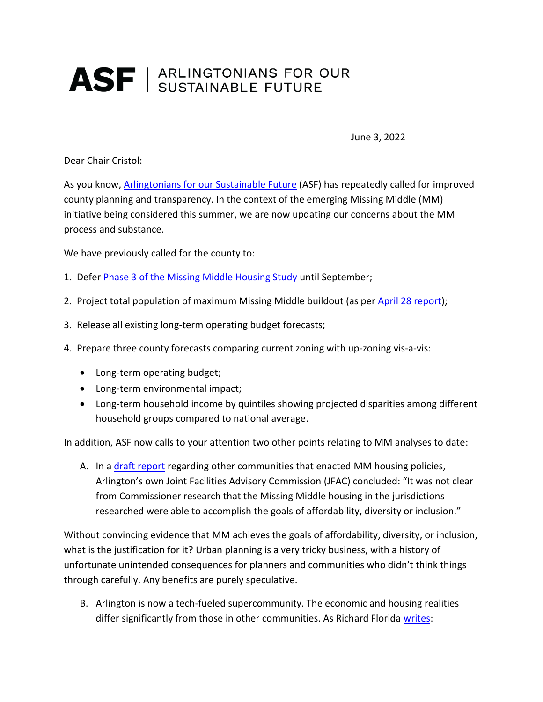## ASF | ARLINGTONIANS FOR OUR

June 3, 2022

Dear Chair Cristol:

As you know, [Arlingtonians for our Sustainable Future](https://www.asf-virginia.org/key-issues-infrastructure) (ASF) has repeatedly called for improved county planning and transparency. In the context of the emerging Missing Middle (MM) initiative being considered this summer, we are now updating our concerns about the MM process and substance.

We have previously called for the county to:

- 1. Defer [Phase 3 of the Missing Middle Housing Study](https://www.arlingtonva.us/Government/Programs/Housing/Housing-Arlington/Tools/Missing-Middle/Community-Engagement) until September;
- 2. Project total population of maximum Missing Middle buildout (as per [April 28 report\)](https://www.arlingtonva.us/files/sharedassets/public/housing/documents/missing-middle/mmhs-phase-2-public-presentation_05.02.pdf);
- 3. Release all existing long-term operating budget forecasts;
- 4. Prepare three county forecasts comparing current zoning with up-zoning vis-a-vis:
	- Long-term operating budget;
	- Long-term environmental impact;
	- Long-term household income by quintiles showing projected disparities among different household groups compared to national average.

In addition, ASF now calls to your attention two other points relating to MM analyses to date:

A. In a [draft report](https://www.arlingtonva.us/files/sharedassets/public/commissions/documents/jfac/jfac_mmhs_draft_report_2022-03-20.pdf) regarding other communities that enacted MM housing policies, Arlington's own Joint Facilities Advisory Commission (JFAC) concluded: "It was not clear from Commissioner research that the Missing Middle housing in the jurisdictions researched were able to accomplish the goals of affordability, diversity or inclusion."

Without convincing evidence that MM achieves the goals of affordability, diversity, or inclusion, what is the justification for it? Urban planning is a very tricky business, with a history of unfortunate unintended consequences for planners and communities who didn't think things through carefully. Any benefits are purely speculative.

B. Arlington is now a tech-fueled supercommunity. The economic and housing realities differ significantly from those in other communities. As Richard Florida [writes:](https://www.bloomberg.com/news/articles/2019-05-09/-build-more-housing-is-no-match-for-inequality)